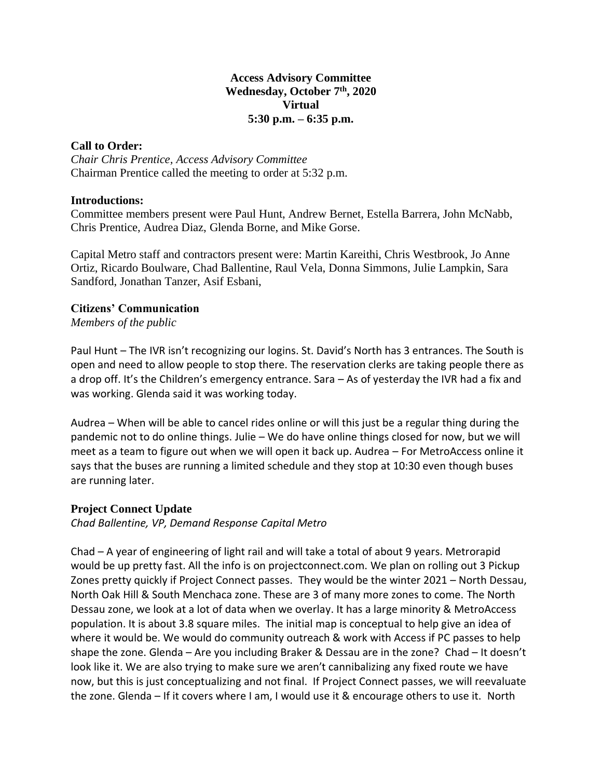## **Access Advisory Committee Wednesday, October 7 th, 2020 Virtual 5:30 p.m. – 6:35 p.m.**

## **Call to Order:**

*Chair Chris Prentice, Access Advisory Committee* Chairman Prentice called the meeting to order at 5:32 p.m.

### **Introductions:**

Committee members present were Paul Hunt, Andrew Bernet, Estella Barrera, John McNabb, Chris Prentice, Audrea Diaz, Glenda Borne, and Mike Gorse.

Capital Metro staff and contractors present were: Martin Kareithi, Chris Westbrook, Jo Anne Ortiz, Ricardo Boulware, Chad Ballentine, Raul Vela, Donna Simmons, Julie Lampkin, Sara Sandford, Jonathan Tanzer, Asif Esbani,

# **Citizens' Communication**

*Members of the public*

Paul Hunt – The IVR isn't recognizing our logins. St. David's North has 3 entrances. The South is open and need to allow people to stop there. The reservation clerks are taking people there as a drop off. It's the Children's emergency entrance. Sara – As of yesterday the IVR had a fix and was working. Glenda said it was working today.

Audrea – When will be able to cancel rides online or will this just be a regular thing during the pandemic not to do online things. Julie – We do have online things closed for now, but we will meet as a team to figure out when we will open it back up. Audrea – For MetroAccess online it says that the buses are running a limited schedule and they stop at 10:30 even though buses are running later.

# **Project Connect Update**

*Chad Ballentine, VP, Demand Response Capital Metro*

Chad – A year of engineering of light rail and will take a total of about 9 years. Metrorapid would be up pretty fast. All the info is on projectconnect.com. We plan on rolling out 3 Pickup Zones pretty quickly if Project Connect passes. They would be the winter 2021 – North Dessau, North Oak Hill & South Menchaca zone. These are 3 of many more zones to come. The North Dessau zone, we look at a lot of data when we overlay. It has a large minority & MetroAccess population. It is about 3.8 square miles. The initial map is conceptual to help give an idea of where it would be. We would do community outreach & work with Access if PC passes to help shape the zone. Glenda – Are you including Braker & Dessau are in the zone? Chad – It doesn't look like it. We are also trying to make sure we aren't cannibalizing any fixed route we have now, but this is just conceptualizing and not final. If Project Connect passes, we will reevaluate the zone. Glenda – If it covers where I am, I would use it & encourage others to use it. North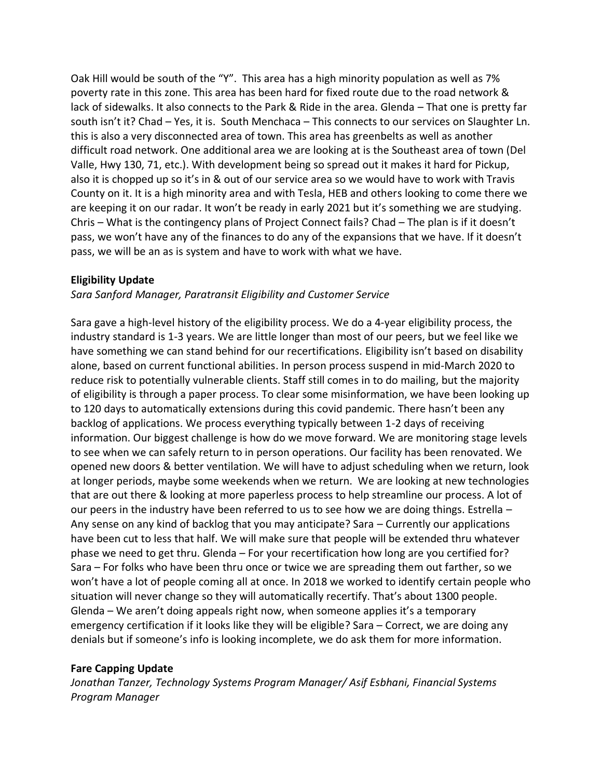Oak Hill would be south of the "Y". This area has a high minority population as well as 7% poverty rate in this zone. This area has been hard for fixed route due to the road network & lack of sidewalks. It also connects to the Park & Ride in the area. Glenda – That one is pretty far south isn't it? Chad – Yes, it is. South Menchaca – This connects to our services on Slaughter Ln. this is also a very disconnected area of town. This area has greenbelts as well as another difficult road network. One additional area we are looking at is the Southeast area of town (Del Valle, Hwy 130, 71, etc.). With development being so spread out it makes it hard for Pickup, also it is chopped up so it's in & out of our service area so we would have to work with Travis County on it. It is a high minority area and with Tesla, HEB and others looking to come there we are keeping it on our radar. It won't be ready in early 2021 but it's something we are studying. Chris – What is the contingency plans of Project Connect fails? Chad – The plan is if it doesn't pass, we won't have any of the finances to do any of the expansions that we have. If it doesn't pass, we will be an as is system and have to work with what we have.

### **Eligibility Update**

*Sara Sanford Manager, Paratransit Eligibility and Customer Service*

Sara gave a high-level history of the eligibility process. We do a 4-year eligibility process, the industry standard is 1-3 years. We are little longer than most of our peers, but we feel like we have something we can stand behind for our recertifications. Eligibility isn't based on disability alone, based on current functional abilities. In person process suspend in mid-March 2020 to reduce risk to potentially vulnerable clients. Staff still comes in to do mailing, but the majority of eligibility is through a paper process. To clear some misinformation, we have been looking up to 120 days to automatically extensions during this covid pandemic. There hasn't been any backlog of applications. We process everything typically between 1-2 days of receiving information. Our biggest challenge is how do we move forward. We are monitoring stage levels to see when we can safely return to in person operations. Our facility has been renovated. We opened new doors & better ventilation. We will have to adjust scheduling when we return, look at longer periods, maybe some weekends when we return. We are looking at new technologies that are out there & looking at more paperless process to help streamline our process. A lot of our peers in the industry have been referred to us to see how we are doing things. Estrella -Any sense on any kind of backlog that you may anticipate? Sara – Currently our applications have been cut to less that half. We will make sure that people will be extended thru whatever phase we need to get thru. Glenda – For your recertification how long are you certified for? Sara – For folks who have been thru once or twice we are spreading them out farther, so we won't have a lot of people coming all at once. In 2018 we worked to identify certain people who situation will never change so they will automatically recertify. That's about 1300 people. Glenda – We aren't doing appeals right now, when someone applies it's a temporary emergency certification if it looks like they will be eligible? Sara – Correct, we are doing any denials but if someone's info is looking incomplete, we do ask them for more information.

### **Fare Capping Update**

*Jonathan Tanzer, Technology Systems Program Manager/ Asif Esbhani, Financial Systems Program Manager*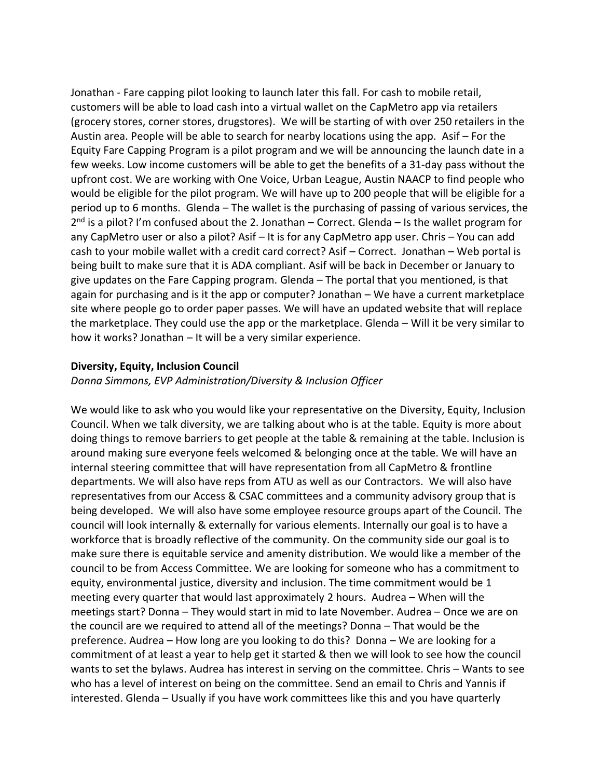Jonathan - Fare capping pilot looking to launch later this fall. For cash to mobile retail, customers will be able to load cash into a virtual wallet on the CapMetro app via retailers (grocery stores, corner stores, drugstores). We will be starting of with over 250 retailers in the Austin area. People will be able to search for nearby locations using the app. Asif – For the Equity Fare Capping Program is a pilot program and we will be announcing the launch date in a few weeks. Low income customers will be able to get the benefits of a 31-day pass without the upfront cost. We are working with One Voice, Urban League, Austin NAACP to find people who would be eligible for the pilot program. We will have up to 200 people that will be eligible for a period up to 6 months. Glenda – The wallet is the purchasing of passing of various services, the 2<sup>nd</sup> is a pilot? I'm confused about the 2. Jonathan – Correct. Glenda – Is the wallet program for any CapMetro user or also a pilot? Asif – It is for any CapMetro app user. Chris – You can add cash to your mobile wallet with a credit card correct? Asif – Correct. Jonathan – Web portal is being built to make sure that it is ADA compliant. Asif will be back in December or January to give updates on the Fare Capping program. Glenda – The portal that you mentioned, is that again for purchasing and is it the app or computer? Jonathan – We have a current marketplace site where people go to order paper passes. We will have an updated website that will replace the marketplace. They could use the app or the marketplace. Glenda – Will it be very similar to how it works? Jonathan – It will be a very similar experience.

#### **Diversity, Equity, Inclusion Council**

*Donna Simmons, EVP Administration/Diversity & Inclusion Officer*

We would like to ask who you would like your representative on the Diversity, Equity, Inclusion Council. When we talk diversity, we are talking about who is at the table. Equity is more about doing things to remove barriers to get people at the table & remaining at the table. Inclusion is around making sure everyone feels welcomed & belonging once at the table. We will have an internal steering committee that will have representation from all CapMetro & frontline departments. We will also have reps from ATU as well as our Contractors. We will also have representatives from our Access & CSAC committees and a community advisory group that is being developed. We will also have some employee resource groups apart of the Council. The council will look internally & externally for various elements. Internally our goal is to have a workforce that is broadly reflective of the community. On the community side our goal is to make sure there is equitable service and amenity distribution. We would like a member of the council to be from Access Committee. We are looking for someone who has a commitment to equity, environmental justice, diversity and inclusion. The time commitment would be 1 meeting every quarter that would last approximately 2 hours. Audrea – When will the meetings start? Donna – They would start in mid to late November. Audrea – Once we are on the council are we required to attend all of the meetings? Donna – That would be the preference. Audrea – How long are you looking to do this? Donna – We are looking for a commitment of at least a year to help get it started & then we will look to see how the council wants to set the bylaws. Audrea has interest in serving on the committee. Chris – Wants to see who has a level of interest on being on the committee. Send an email to Chris and Yannis if interested. Glenda – Usually if you have work committees like this and you have quarterly